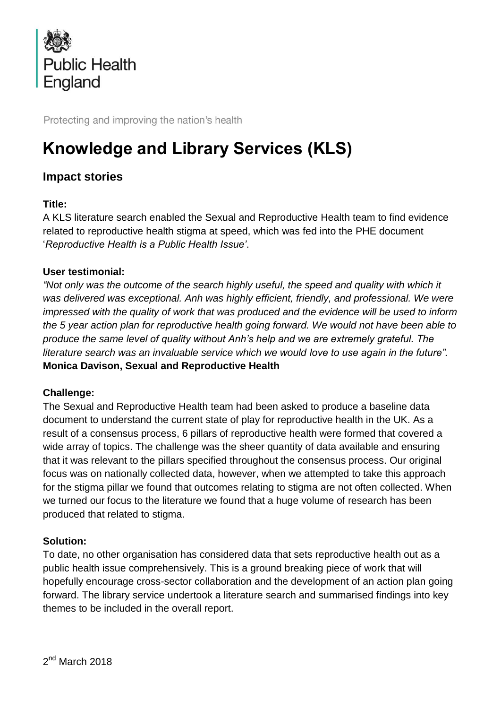

Protecting and improving the nation's health

# **Knowledge and Library Services (KLS)**

# **Impact stories**

## **Title:**

A KLS literature search enabled the Sexual and Reproductive Health team to find evidence related to reproductive health stigma at speed, which was fed into the PHE document '*Reproductive Health is a Public Health Issue'*.

#### **User testimonial:**

*"Not only was the outcome of the search highly useful, the speed and quality with which it was delivered was exceptional. Anh was highly efficient, friendly, and professional. We were impressed with the quality of work that was produced and the evidence will be used to inform the 5 year action plan for reproductive health going forward. We would not have been able to produce the same level of quality without Anh's help and we are extremely grateful. The literature search was an invaluable service which we would love to use again in the future".*  **Monica Davison, Sexual and Reproductive Health**

#### **Challenge:**

The Sexual and Reproductive Health team had been asked to produce a baseline data document to understand the current state of play for reproductive health in the UK. As a result of a consensus process, 6 pillars of reproductive health were formed that covered a wide array of topics. The challenge was the sheer quantity of data available and ensuring that it was relevant to the pillars specified throughout the consensus process. Our original focus was on nationally collected data, however, when we attempted to take this approach for the stigma pillar we found that outcomes relating to stigma are not often collected. When we turned our focus to the literature we found that a huge volume of research has been produced that related to stigma.

#### **Solution:**

To date, no other organisation has considered data that sets reproductive health out as a public health issue comprehensively. This is a ground breaking piece of work that will hopefully encourage cross-sector collaboration and the development of an action plan going forward. The library service undertook a literature search and summarised findings into key themes to be included in the overall report.